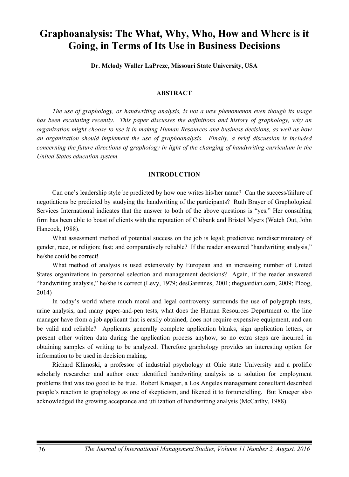# **Graphoanalysis: The What, Why, Who, How and Where is it Going, in Terms of Its Use in Business Decisions**

**Dr. Melody Waller LaPreze, Missouri State University, USA** 

## **ABSTRACT**

*The use of graphology, or handwriting analysis, is not a new phenomenon even though its usage*  has been escalating recently. This paper discusses the definitions and history of graphology, why an *organization might choose to use it in making Human Resources and business decisions, as well as how an organization should implement the use of graphoanalysis. Finally, a brief discussion is included concerning the future directions of graphology in light of the changing of handwriting curriculum in the United States education system.*

## **INTRODUCTION**

Can one's leadership style be predicted by how one writes his/her name? Can the success/failure of negotiations be predicted by studying the handwriting of the participants? Ruth Brayer of Graphological Services International indicates that the answer to both of the above questions is "yes." Her consulting firm has been able to boast of clients with the reputation of Citibank and Bristol Myers (Watch Out, John Hancock, 1988).

What assessment method of potential success on the job is legal; predictive; nondiscriminatory of gender, race, or religion; fast; and comparatively reliable? If the reader answered "handwriting analysis," he/she could be correct!

What method of analysis is used extensively by European and an increasing number of United States organizations in personnel selection and management decisions? Again, if the reader answered "handwriting analysis," he/she is correct (Levy, 1979; desGarennes, 2001; theguardian.com, 2009; Ploog, 2014)

In today's world where much moral and legal controversy surrounds the use of polygraph tests, urine analysis, and many paper-and-pen tests, what does the Human Resources Department or the line manager have from a job applicant that is easily obtained, does not require expensive equipment, and can be valid and reliable? Applicants generally complete application blanks, sign application letters, or present other written data during the application process anyhow, so no extra steps are incurred in obtaining samples of writing to be analyzed. Therefore graphology provides an interesting option for information to be used in decision making.

Richard Klimoski, a professor of industrial psychology at Ohio state University and a prolific scholarly researcher and author once identified handwriting analysis as a solution for employment problems that was too good to be true. Robert Krueger, a Los Angeles management consultant described people's reaction to graphology as one of skepticism, and likened it to fortunetelling. But Krueger also acknowledged the growing acceptance and utilization of handwriting analysis (McCarthy, 1988).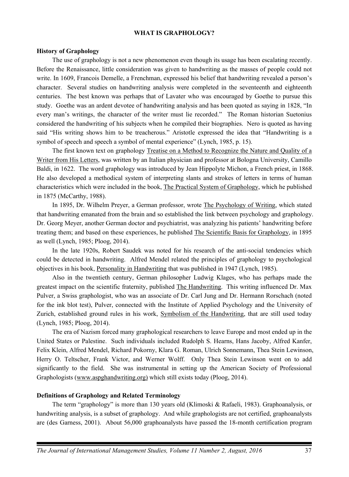## **WHAT IS GRAPHOLOGY?**

# **History of Graphology**

The use of graphology is not a new phenomenon even though its usage has been escalating recently. Before the Renaissance, little consideration was given to handwriting as the masses of people could not write. In 1609, Francois Demelle, a Frenchman, expressed his belief that handwriting revealed a person's character. Several studies on handwriting analysis were completed in the seventeenth and eighteenth centuries. The best known was perhaps that of Lavater who was encouraged by Goethe to pursue this study. Goethe was an ardent devotee of handwriting analysis and has been quoted as saying in 1828, "In every man's writings, the character of the writer must lie recorded." The Roman historian Suetonius considered the handwriting of his subjects when he compiled their biographies. Nero is quoted as having said "His writing shows him to be treacherous." Aristotle expressed the idea that "Handwriting is a symbol of speech and speech a symbol of mental experience" (Lynch, 1985, p. 15).

The first known text on graphology Treatise on a Method to Recognize the Nature and Quality of a Writer from His Letters, was written by an Italian physician and professor at Bologna University, Camillo Baldi, in 1622. The word graphology was introduced by Jean Hippolyte Michon, a French priest, in 1868. He also developed a methodical system of interpreting slants and strokes of letters in terms of human characteristics which were included in the book, The Practical System of Graphology, which he published in 1875 (McCarthy, 1988).

In 1895, Dr. Wilhelm Preyer, a German professor, wrote The Psychology of Writing, which stated that handwriting emanated from the brain and so established the link between psychology and graphology. Dr. Georg Meyer, another German doctor and psychiatrist, was analyzing his patients' handwriting before treating them; and based on these experiences, he published The Scientific Basis for Graphology, in 1895 as well (Lynch, 1985; Ploog, 2014).

In the late 1920s, Robert Saudek was noted for his research of the anti-social tendencies which could be detected in handwriting. Alfred Mendel related the principles of graphology to psychological objectives in his book, Personality in Handwriting that was published in 1947 (Lynch, 1985).

Also in the twentieth century, German philosopher Ludwig Klages, who has perhaps made the greatest impact on the scientific fraternity, published The Handwriting. This writing influenced Dr. Max Pulver, a Swiss graphologist, who was an associate of Dr. Carl Jung and Dr. Hermann Rorschach (noted for the ink blot test), Pulver, connected with the Institute of Applied Psychology and the University of Zurich, established ground rules in his work, Symbolism of the Handwriting, that are still used today (Lynch, 1985; Ploog, 2014).

The era of Nazism forced many graphological researchers to leave Europe and most ended up in the United States or Palestine. Such individuals included Rudolph S. Hearns, Hans Jacoby, Alfred Kanfer, Felix Klein, Alfred Mendel, Richard Pokorny, Klara G. Roman, Ulrich Sonnemann, Thea Stein Lewinson, Herry O. Teltscher, Frank Victor, and Werner Wolff. Only Thea Stein Lewinson went on to add significantly to the field. She was instrumental in setting up the American Society of Professional Graphologists (www.aspghandwriting.org) which still exists today (Ploog, 2014).

# **Definitions of Graphology and Related Terminology**

The term "graphology" is more than 130 years old (Klimoski & Rafaeli, 1983). Graphoanalysis, or handwriting analysis, is a subset of graphology. And while graphologists are not certified, graphoanalysts are (des Garness, 2001). About 56,000 graphoanalysts have passed the 18-month certification program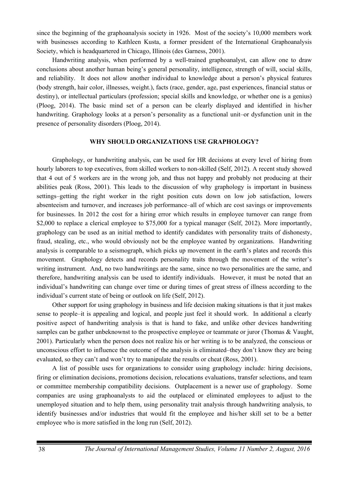since the beginning of the graphoanalysis society in 1926. Most of the society's 10,000 members work with businesses according to Kathleen Kusta, a former president of the International Graphoanalysis Society, which is headquartered in Chicago, Illinois (des Garness, 2001).

Handwriting analysis, when performed by a well-trained graphoanalyst, can allow one to draw conclusions about another human being's general personality, intelligence, strength of will, social skills, and reliability. It does not allow another individual to knowledge about a person's physical features (body strength, hair color, illnesses, weight.), facts (race, gender, age, past experiences, financial status or destiny), or intellectual particulars (profession; special skills and knowledge, or whether one is a genius) (Ploog, 2014). The basic mind set of a person can be clearly displayed and identified in his/her handwriting. Graphology looks at a person's personality as a functional unit–or dysfunction unit in the presence of personality disorders (Ploog, 2014).

## **WHY SHOULD ORGANIZATIONS USE GRAPHOLOGY?**

Graphology, or handwriting analysis, can be used for HR decisions at every level of hiring from hourly laborers to top executives, from skilled workers to non-skilled (Self, 2012). A recent study showed that 4 out of 5 workers are in the wrong job, and thus not happy and probably not producing at their abilities peak (Ross, 2001). This leads to the discussion of why graphology is important in business settings–getting the right worker in the right position cuts down on low job satisfaction, lowers absenteeism and turnover, and increases job performance–all of which are cost savings or improvements for businesses. In 2012 the cost for a hiring error which results in employee turnover can range from \$2,000 to replace a clerical employee to \$75,000 for a typical manager (Self, 2012). More importantly, graphology can be used as an initial method to identify candidates with personality traits of dishonesty, fraud, stealing, etc., who would obviously not be the employee wanted by organizations. Handwriting analysis is comparable to a seismograph, which picks up movement in the earth's plates and records this movement. Graphology detects and records personality traits through the movement of the writer's writing instrument. And, no two handwritings are the same, since no two personalities are the same, and therefore, handwriting analysis can be used to identify individuals. However, it must be noted that an individual's handwriting can change over time or during times of great stress of illness according to the individual's current state of being or outlook on life (Self, 2012).

Other support for using graphology in business and life decision making situations is that it just makes sense to people–it is appealing and logical, and people just feel it should work. In additional a clearly positive aspect of handwriting analysis is that is hand to fake, and unlike other devices handwriting samples can be gather unbeknownst to the prospective employee or teammate or juror (Thomas & Vaught, 2001). Particularly when the person does not realize his or her writing is to be analyzed, the conscious or unconscious effort to influence the outcome of the analysis is eliminated–they don't know they are being evaluated, so they can't and won't try to manipulate the results or cheat (Ross, 2001).

A list of possible uses for organizations to consider using graphology include: hiring decisions, firing or elimination decisions, promotions decision, relocations evaluations, transfer selections, and team or committee membership compatibility decisions. Outplacement is a newer use of graphology. Some companies are using graphoanalysts to aid the outplaced or eliminated employees to adjust to the unemployed situation and to help them, using personality trait analysis through handwriting analysis, to identify businesses and/or industries that would fit the employee and his/her skill set to be a better employee who is more satisfied in the long run (Self, 2012).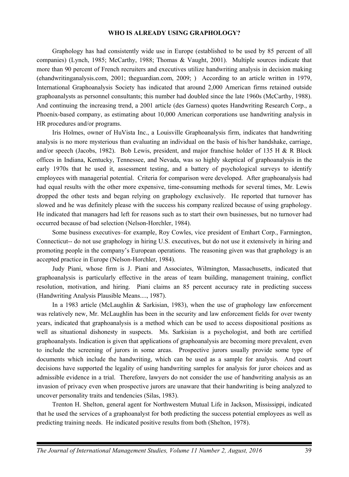#### **WHO IS ALREADY USING GRAPHOLOGY?**

Graphology has had consistently wide use in Europe (established to be used by 85 percent of all companies) (Lynch, 1985; McCarthy, 1988; Thomas & Vaught, 2001). Multiple sources indicate that more than 90 percent of French recruiters and executives utilize handwriting analysis in decision making (ehandwritinganalysis.com, 2001; theguardian.com, 2009; ) According to an article written in 1979, International Graphoanalysis Society has indicated that around 2,000 American firms retained outside graphoanalysts as personnel consultants; this number had doubled since the late 1960s (McCarthy, 1988). And continuing the increasing trend, a 2001 article (des Garness) quotes Handwriting Research Corp., a Phoenix-based company, as estimating about 10,000 American corporations use handwriting analysis in HR procedures and/or programs.

Iris Holmes, owner of HuVista Inc., a Louisville Graphoanalysis firm, indicates that handwriting analysis is no more mysterious than evaluating an individual on the basis of his/her handshake, carriage, and/or speech (Jacobs, 1982). Bob Lewis, president, and major franchise holder of 135 H & R Block offices in Indiana, Kentucky, Tennessee, and Nevada, was so highly skeptical of graphoanalysis in the early 1970s that he used it, assessment testing, and a battery of psychological surveys to identify employees with managerial potential. Criteria for comparison were developed. After graphoanalysis had had equal results with the other more expensive, time-consuming methods for several times, Mr. Lewis dropped the other tests and began relying on graphology exclusively. He reported that turnover has slowed and he was definitely please with the success his company realized because of using graphology. He indicated that managers had left for reasons such as to start their own businesses, but no turnover had occurred because of bad selection (Nelson-Horchler, 1984).

Some business executives–for example, Roy Cowles, vice president of Emhart Corp., Farmington, Connecticut-- do not use graphology in hiring U.S. executives, but do not use it extensively in hiring and promoting people in the company's European operations. The reasoning given was that graphology is an accepted practice in Europe (Nelson-Horchler, 1984).

Judy Piani, whose firm is J. Piani and Associates, Wilmington, Massachusetts, indicated that graphoanalysis is particularly effective in the areas of team building, management training, conflict resolution, motivation, and hiring. Piani claims an 85 percent accuracy rate in predicting success (Handwriting Analysis Plausible Means...., 1987).

In a 1983 article (McLaughlin & Sarkisian, 1983), when the use of graphology law enforcement was relatively new, Mr. McLaughlin has been in the security and law enforcement fields for over twenty years, indicated that graphoanalysis is a method which can be used to access dispositional positions as well as situational dishonesty in suspects. Ms. Sarkisian is a psychologist, and both are certified graphoanalysts. Indication is given that applications of graphoanalysis are becoming more prevalent, even to include the screening of jurors in some areas. Prospective jurors usually provide some type of documents which include the handwriting, which can be used as a sample for analysis. And court decisions have supported the legality of using handwriting samples for analysis for juror choices and as admissible evidence in a trial. Therefore, lawyers do not consider the use of handwriting analysis as an invasion of privacy even when prospective jurors are unaware that their handwriting is being analyzed to uncover personality traits and tendencies (Silas, 1983).

Trenton H. Shelton, general agent for Northwestern Mutual Life in Jackson, Mississippi, indicated that he used the services of a graphoanalyst for both predicting the success potential employees as well as predicting training needs. He indicated positive results from both (Shelton, 1978).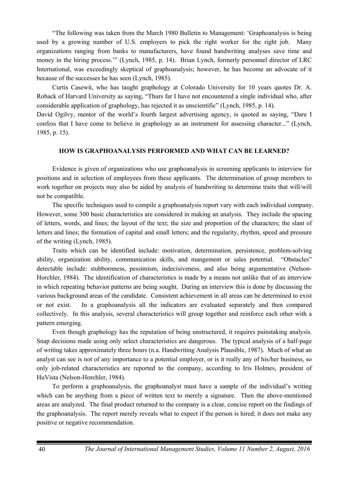"The following was taken from the March 1980 Bulletin to Management: 'Graphoanalysis is being used by a growing number of U.S. employers to pick the right worker for the right job. Many organizations ranging from banks to manufacturers, have found handwriting analyses save time and money in the hiring process.'" (Lynch, 1985, p. 14). Brian Lynch, formerly personnel director of LRC International, was exceedingly skeptical of graphoanalysis; however, he has become an advocate of it because of the successes he has seen (Lynch, 1985).

Curtis Casewit, who has taught graphology at Colorado University for 10 years quotes Dr. A. Roback of Harvard University as saying, "Thurs far I have not encountered a single individual who, after considerable application of graphology, has rejected it as unscientific" (Lynch, 1985, p. 14).

David Ogilvy, mentor of the world's fourth largest advertising agency, is quoted as saying, "Dare I confess that I have come to believe in graphology as an instrument for assessing character..." (Lynch, 1985, p. 15).

## **HOW IS GRAPHOANALYSIS PERFORMED AND WHAT CAN BE LEARNED?**

Evidence is given of organizations who use graphoanalysis in screening applicants to interview for positions and in selection of employees from these applicants. The determination of group members to work together on projects may also be aided by analysis of handwriting to determine traits that will/will not be compatible.

The specific techniques used to compile a graphoanalysis report vary with each individual company. However, some 300 basic characteristics are considered in making an analysis. They include the spacing of letters, words, and lines; the layout of the text; the size and proportion of the characters; the slant of letters and lines; the formation of capital and small letters; and the regularity, rhythm, speed and pressure of the writing (Lynch, 1985).

Traits which can be identified include: motivation, determination, persistence, problem-solving ability, organization ability, communication skills, and mangement or sales potential. "Obstacles" detectable include: stubbornness, pessimism, indecisiveness, and also being argumentative (Nelson-Horchler, 1984). The identification of characteristics is made by a means not unlike that of an interview in which repeating behavior patterns are being sought. During an interview this is done by discussing the various background areas of the candidate. Consistent achievement in all areas can be determined to exist or not exist. In a graphoanalysis all the indicators are evaluated separately and then compared collectively. In this analysis, several characteristics will group together and reinforce each other with a pattern emerging.

Even though graphology has the reputation of being unstructured, it requires painstaking analysis. Snap decisions made using only select characteristics are dangerous. The typical analysis of a half-page of writing takes approximately three hours (n.a. Handwriting Analysis Plausible, 1987). Much of what an analyst can see is not of any importance to a potential employer, or is it really any of his/her business, so only job-related characteristics are reported to the company, according to Iris Holmes, president of HuVista (Nelson-Horchler, 1984).

To perform a graphoanalysis, the graphoanalyst must have a sample of the individual's writing which can be anything from a piece of written text to merely a signature. Then the above-mentioned areas are analyzed. The final product returned to the company is a clear, concise report on the findings of the graphoanalysis. The report merely reveals what to expect if the person is hired; it does not make any positive or negative recommendation.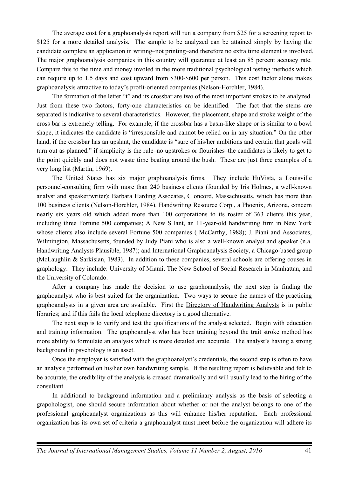The average cost for a graphoanalysis report will run a company from \$25 for a screening report to \$125 for a more detailed analysis. The sample to be analyzed can be attained simply by having the candidate complete an application in writing–not printing–and therefore no extra time element is involved. The major graphoanalysis companies in this country will guarantee at least an 85 percent accuacy rate. Compare this to the time and money involed in the more traditional psychological testing methods which can require up to 1.5 days and cost upward from \$300-\$600 per person. This cost factor alone makes graphoanalysis attractive to today's profit-oriented companies (Nelson-Horchler, 1984).

The formation of the letter "t" and its crossbar are two of the most important strokes to be analyzed. Just from these two factors, forty-one characteristics cn be identified. The fact that the stems are separated is indicative to several characteristics. However, the placement, shape and stroke weight of the cross bar is extremely telling. For example, if the crossbar has a basin-like shape or is similar to a bowl shape, it indicates the candidate is "irresponsible and cannot be relied on in any situation." On the other hand, if the crossbar has an upslant, the candidate is "sure of his/her ambitions and certain that goals will turn out as planned." if simplicity is the rule–no upstrokes or flourishes–the candidates is likely to get to the point quickly and does not waste time beating around the bush. These are just three examples of a very long list (Martin, 1969).

The United States has six major graphoanalysis firms. They include HuVista, a Louisville personnel-consulting firm with more than 240 business clients (founded by Iris Holmes, a well-known analyst and speaker/writer); Barbara Harding Assocates, C oncord, Massachusetts, which has more than 100 business clients (Nelson-Horchler, 1984). Handwriting Resource Corp., a Phoenix, Arizona, concern nearly six years old which added more than 100 corporations to its roster of 363 clients this year, including three Fortune 500 companies; A New S lant, an 11-year-old handwriting firm in New York whose clients also include several Fortune 500 companies (McCarthy, 1988); J. Piani and Associates, Wilmington, Massachusetts, founded by Judy Piani who is also a well-known analyst and speaker (n.a. Handwriting Analysts Plausible, 1987); and International Graphoanalysis Society, a Chicago-based group (McLaughlin & Sarkisian, 1983). In addition to these companies, several schools are offering couses in graphology. They include: University of Miami, The New School of Social Research in Manhattan, and the University of Colorado.

After a company has made the decision to use graphoanalysis, the next step is finding the graphoanalyst who is best suited for the organization. Two ways to secure the names of the practicing graphoanalysts in a given area are available. First the Directory of Handwriting Analysts is in public libraries; and if this fails the local telephone directory is a good alternative.

The next step is to verify and test the qualifications of the analyst selected. Begin with education and training information. The graphoanalyst who has been training beyond the trait stroke method has more ability to formulate an analysis which is more detailed and accurate. The analyst's having a strong background in psychology is an asset.

Once the employer is satisfied with the graphoanalyst's credentials, the second step is often to have an analysis performed on his/her own handwriting sample. If the resulting report is believable and felt to be accurate, the credibility of the analysis is creased dramatically and will usually lead to the hiring of the consultant.

In additional to background information and a preliminary analysis as the basis of selecting a grapohologist, one should secure information about whether or not the analyst belongs to one of the professional graphoanalyst organizations as this will enhance his/her reputation. Each professional organization has its own set of criteria a graphoanalyst must meet before the organization will adhere its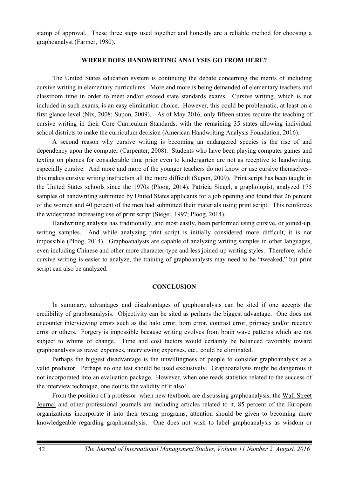stamp of approval. These three steps used together and honestly are a reliable method for choosing a graphoanalyst (Farmer, 1980).

#### **WHERE DOES HANDWRITING ANALYSIS GO FROM HERE?**

The United States education system is continuing the debate concerning the merits of including cursive writing in elementary curriculums. More and more is being demanded of elementary teachers and classroom time in order to meet and/or exceed state standards exams. Cursive writing, which is not included in such exams, is an easy elimination choice. However, this could be problematic, at least on a first glance level (Nix, 2008; Supon, 2009). As of May 2016, only fifteen states require the teaching of cursive writing in their Core Curriculum Standards, with the remaining 35 states allowing individual school districts to make the curriculum decision (American Handwriting Analysis Foundation, 2016).

A second reason why cursive writing is becoming an endangered species is the rise of and dependency upon the computer (Carpenter, 2008). Students who have been playing computer games and texting on phones for considerable time prior even to kindergarten are not as receptive to handwriting, especially cursive. And more and more of the younger teachers do not know or use cursive themselves– this makes cursive writing instruction all the more difficult (Supon, 2009). Print script has been taught in the United States schools since the 1970s (Ploog, 2014). Patricia Siegel, a graphologist, analyzed 175 samples of handwriting submitted by United States applicants for a job opening and found that 26 percent of the women and 40 percent of the men had submitted their materials using print script. This reinforces the widespread increasing use of print script (Siegel, 1997; Ploog, 2014).

Handwriting analysis has traditionally, and most easily, been performed using cursive, or joined-up, writing samples. And while analyzing print script is initially considered more difficult, it is not impossible (Ploog, 2014). Graphoanalysts are capable of analyzing writing samples in other languages, even including Chinese and other more character-type and less joined-up writing styles. Therefore, while cursive writing is easier to analyze, the training of graphoanalysts may need to be "tweaked," but print script can also be analyzed.

#### **CONCLUSION**

In summary, advantages and disadvantages of graphoanalysis can be sited if one accepts the credibility of graphoanalysis. Objectivity can be sited as perhaps the biggest advantage. One does not encounter interviewing errors such as the halo error, horn error, contrast error, primacy and/or recency error or others. Forgery is impossible because writing evolves from brain wave patterns which are not subject to whims of change. Time and cost factors would certainly be balanced favorably toward graphoanalysis as travel expenses, interviewing expenses, etc., could be eliminated.

Perhaps the biggest disadvantage is the unwillingness of people to consider graphoanalysis as a valid predictor. Perhaps no one test should be used exclusively. Graphoanalysis might be dangerous if not incorporated into an evaluation package. However, when one reads statistics related to the success of the interview technique, one doubts the validity of it also!

From the position of a professor–when new textbook are discussing graphoanalysis, the Wall Street Journal and other professional journals are including articles related to it, 85 percent of the European organizations incorporate it into their testing programs, attention should be given to becoming more knowledgeable regarding graphoanalysis. One does not wish to label graphoanalysis as wisdom or